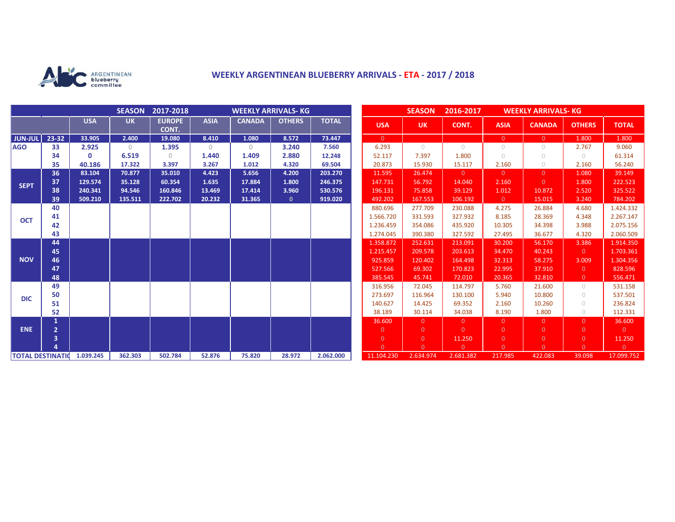

## **WEEKLY ARGENTINEAN BLUEBERRY ARRIVALS - ETA - 2017 / 2018**

|                          |                |            | <b>SEASON</b> | 2017-2018              |             |               | <b>WEEKLY ARRIVALS- KG</b> |              |                | <b>SEASON</b><br>2016-2017<br><b>WEEKLY ARRIVALS- KG</b> |                |                |                |                |                |
|--------------------------|----------------|------------|---------------|------------------------|-------------|---------------|----------------------------|--------------|----------------|----------------------------------------------------------|----------------|----------------|----------------|----------------|----------------|
|                          |                | <b>USA</b> | <b>UK</b>     | <b>EUROPE</b><br>CONT. | <b>ASIA</b> | <b>CANADA</b> | <b>OTHERS</b>              | <b>TOTAL</b> | <b>USA</b>     | <b>UK</b>                                                | CONT.          | <b>ASIA</b>    | <b>CANADA</b>  | <b>OTHERS</b>  | <b>TOTAL</b>   |
| <b>JUN-JUL</b>           | 23-32          | 33.905     | 2.400         | 19.080                 | 8.410       | 1.080         | 8.572                      | 73.447       | $\overline{0}$ |                                                          |                | $\overline{0}$ | $\overline{0}$ | 1.800          | 1.800          |
| <b>AGO</b>               | 33             | 2.925      | $\Omega$      | 1.395                  | $\circ$     | $\circ$       | 3.240                      | 7.560        | 6.293          | $\bigcap$                                                | $\bigcap$      | $\bigcirc$     | $\bigcirc$     | 2.767          | 9.060          |
|                          | 34             | 0          | 6.519         | $\Omega$               | 1.440       | 1.409         | 2.880                      | 12.248       | 52.117         | 7.397                                                    | 1.800          | $\bigcirc$     | $\bigcap$      | 0              | 61.314         |
|                          | 35             | 40.186     | 17.322        | 3.397                  | 3.267       | 1.012         | 4.320                      | 69.504       | 20.873         | 15.930                                                   | 15.117         | 2.160          | $\bigcirc$     | 2.160          | 56.240         |
| <b>SEPT</b>              | 36             | 83.104     | 70.877        | 35.010                 | 4.423       | 5.656         | 4.200                      | 203.270      | 11.595         | 26.474                                                   | $\overline{0}$ | $\overline{0}$ | $\overline{0}$ | 1.080          | 39.149         |
|                          | 37             | 129.574    | 35.128        | 60.354                 | 1.635       | 17.884        | 1.800                      | 246.375      | 147.731        | 56.792                                                   | 14.040         | 2.160          | $\Omega$       | 1.800          | 222.523        |
|                          | 38             | 240.341    | 94.546        | 160.846                | 13.469      | 17.414        | 3.960                      | 530.576      | 196.131        | 75.858                                                   | 39.129         | 1.012          | 10.872         | 2.520          | 325.522        |
|                          | 39             | 509.210    | 135.511       | 222.702                | 20.232      | 31.365        | $\mathbf{0}$               | 919.020      | 492.202        | 167.553                                                  | 106.192        | $\overline{0}$ | 15.015         | 3.240          | 784.202        |
| <b>OCT</b>               | 40             |            |               |                        |             |               |                            |              | 880.696        | 277.709                                                  | 230.088        | 4.275          | 26.884         | 4.680          | 1.424.332      |
|                          | 41             |            |               |                        |             |               |                            |              | 1.566.720      | 331.593                                                  | 327.932        | 8.185          | 28.369         | 4.348          | 2.267.147      |
|                          | 42             |            |               |                        |             |               |                            |              | 1.236.459      | 354.086                                                  | 435.920        | 10.305         | 34.398         | 3.988          | 2.075.156      |
|                          | 43             |            |               |                        |             |               |                            |              | 1.274.045      | 390.380                                                  | 327.592        | 27.495         | 36.677         | 4.320          | 2.060.509      |
| <b>NOV</b>               | 44             |            |               |                        |             |               |                            |              | 1.358.872      | 252.631                                                  | 213.091        | 30.200         | 56.170         | 3.386          | 1.914.350      |
|                          | 45             |            |               |                        |             |               |                            |              | 1.215.457      | 209.578                                                  | 203.613        | 34.470         | 40.243         | $\overline{0}$ | 1.703.361      |
|                          | 46             |            |               |                        |             |               |                            |              | 925.859        | 120.402                                                  | 164.498        | 32.313         | 58.275         | 3.009          | 1.304.356      |
|                          | 47             |            |               |                        |             |               |                            |              | 527.566        | 69.302                                                   | 170.823        | 22.995         | 37.910         | $\overline{0}$ | 828.596        |
|                          | 48             |            |               |                        |             |               |                            |              | 385.545        | 45.741                                                   | 72.010         | 20.365         | 32.810         | $\overline{0}$ | 556.471        |
| <b>DIC</b>               | 49             |            |               |                        |             |               |                            |              | 316.956        | 72.045                                                   | 114.797        | 5.760          | 21.600         | $\circ$        | 531.158        |
|                          | 50             |            |               |                        |             |               |                            |              | 273.697        | 116.964                                                  | 130.100        | 5.940          | 10.800         | $\circ$        | 537.501        |
|                          | 51             |            |               |                        |             |               |                            |              | 140.627        | 14.425                                                   | 69.352         | 2.160          | 10.260         | $\circ$        | 236.824        |
|                          | 52             |            |               |                        |             |               |                            |              | 38.189         | 30.114                                                   | 34.038         | 8.190          | 1.800          | $\circ$        | 112.331        |
|                          | 1              |            |               |                        |             |               |                            |              | 36.600         | $\Omega$                                                 | $\overline{0}$ | $\overline{0}$ | $\Omega$       | $\overline{0}$ | 36.600         |
| <b>ENE</b>               | $\overline{2}$ |            |               |                        |             |               |                            |              | $\overline{0}$ | $\Omega$                                                 | $\Omega$       | $\overline{0}$ | $\overline{0}$ | $\overline{0}$ | $\overline{0}$ |
|                          | 3              |            |               |                        |             |               |                            |              | $\mathbf{0}$   | $\mathbf{0}$                                             | 11.250         | $\mathbf{0}$   | $\overline{0}$ | $\mathbf{0}$   | 11.250         |
|                          |                |            |               |                        |             |               |                            |              | $\Omega$       | $\Omega$                                                 | $\Omega$       | $\Omega$       | $\Omega$       | $\Omega$       | $\overline{0}$ |
| <b>TOTAL DESTINATION</b> |                | 1.039.245  | 362.303       | 502.784                | 52.876      | 75.820        | 28.972                     | 2.062.000    | 11.104.230     | 2.634.974                                                | 2.681.382      | 217.985        | 422.083        | 39.098         | 17.099.752     |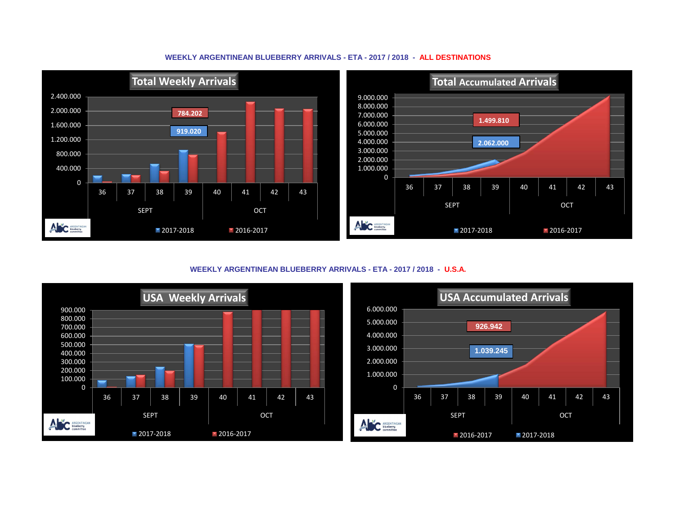## **WEEKLY ARGENTINEAN BLUEBERRY ARRIVALS - ETA - 2017 / 2018 - ALL DESTINATIONS**



**WEEKLY ARGENTINEAN BLUEBERRY ARRIVALS - ETA - 2017 / 2018 - U.S.A.**



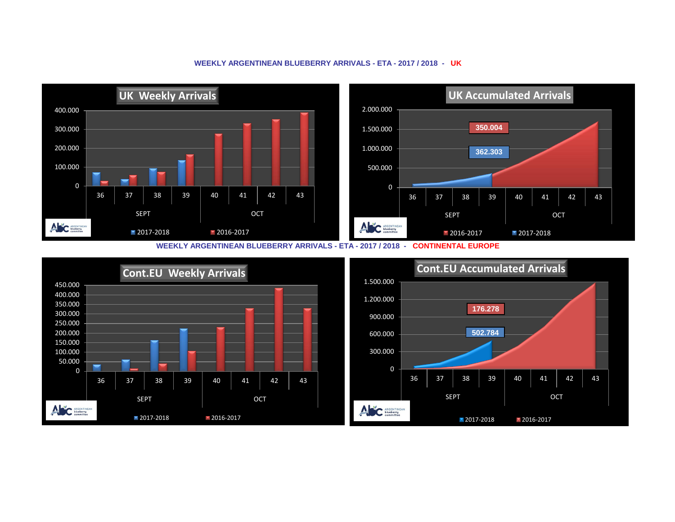

## **WEEKLY ARGENTINEAN BLUEBERRY ARRIVALS - ETA - 2017 / 2018 - UK**

**WEEKLY ARGENTINEAN BLUEBERRY ARRIVALS - ETA - 2017 / 2018 - CONTINENTAL EUROPE**